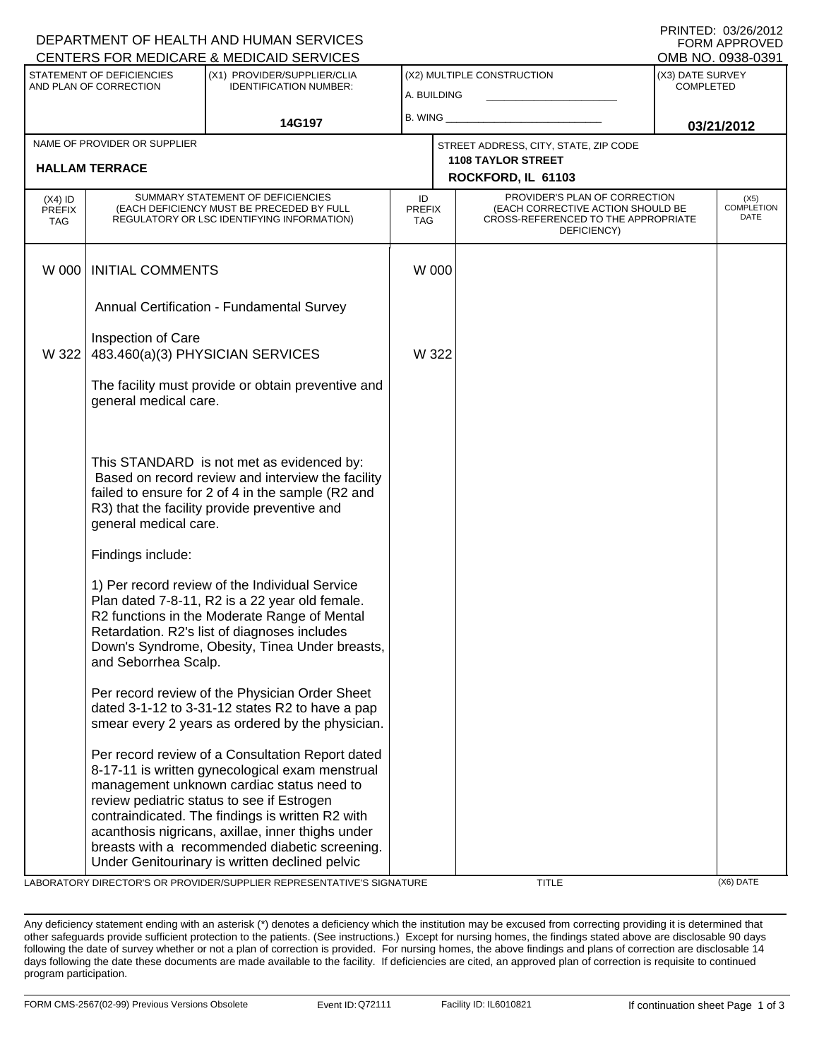|                                                     |                                                                                                                                                                                                                              | DEPARTMENT OF HEALTH AND HUMAN SERVICES<br>CENTERS FOR MEDICARE & MEDICAID SERVICES                                                                                                                                                                                                                                                                                                                         |                                                 |                                           |                                                                                                                          |            | FORM APPROVED<br>OMB NO. 0938-0391   |  |
|-----------------------------------------------------|------------------------------------------------------------------------------------------------------------------------------------------------------------------------------------------------------------------------------|-------------------------------------------------------------------------------------------------------------------------------------------------------------------------------------------------------------------------------------------------------------------------------------------------------------------------------------------------------------------------------------------------------------|-------------------------------------------------|-------------------------------------------|--------------------------------------------------------------------------------------------------------------------------|------------|--------------------------------------|--|
| STATEMENT OF DEFICIENCIES<br>AND PLAN OF CORRECTION |                                                                                                                                                                                                                              | (X1) PROVIDER/SUPPLIER/CLIA<br><b>IDENTIFICATION NUMBER:</b>                                                                                                                                                                                                                                                                                                                                                |                                                 | (X2) MULTIPLE CONSTRUCTION<br>A. BUILDING |                                                                                                                          |            | (X3) DATE SURVEY<br><b>COMPLETED</b> |  |
|                                                     | 14G197                                                                                                                                                                                                                       |                                                                                                                                                                                                                                                                                                                                                                                                             | B. WING                                         |                                           |                                                                                                                          | 03/21/2012 |                                      |  |
|                                                     | NAME OF PROVIDER OR SUPPLIER                                                                                                                                                                                                 |                                                                                                                                                                                                                                                                                                                                                                                                             |                                                 |                                           | STREET ADDRESS, CITY, STATE, ZIP CODE                                                                                    |            |                                      |  |
| <b>HALLAM TERRACE</b>                               |                                                                                                                                                                                                                              |                                                                                                                                                                                                                                                                                                                                                                                                             | <b>1108 TAYLOR STREET</b><br>ROCKFORD, IL 61103 |                                           |                                                                                                                          |            |                                      |  |
| (X4) ID<br><b>PREFIX</b><br><b>TAG</b>              |                                                                                                                                                                                                                              | SUMMARY STATEMENT OF DEFICIENCIES<br>(EACH DEFICIENCY MUST BE PRECEDED BY FULL<br>REGULATORY OR LSC IDENTIFYING INFORMATION)                                                                                                                                                                                                                                                                                | ID<br><b>PREFIX</b><br><b>TAG</b>               |                                           | PROVIDER'S PLAN OF CORRECTION<br>(EACH CORRECTIVE ACTION SHOULD BE<br>CROSS-REFERENCED TO THE APPROPRIATE<br>DEFICIENCY) |            | (X5)<br><b>COMPLETION</b><br>DATE    |  |
| W 000                                               | <b>INITIAL COMMENTS</b>                                                                                                                                                                                                      |                                                                                                                                                                                                                                                                                                                                                                                                             | W 000                                           |                                           |                                                                                                                          |            |                                      |  |
|                                                     | Annual Certification - Fundamental Survey                                                                                                                                                                                    |                                                                                                                                                                                                                                                                                                                                                                                                             |                                                 |                                           |                                                                                                                          |            |                                      |  |
| W 322                                               | Inspection of Care<br>483.460(a)(3) PHYSICIAN SERVICES                                                                                                                                                                       |                                                                                                                                                                                                                                                                                                                                                                                                             | W 322                                           |                                           |                                                                                                                          |            |                                      |  |
|                                                     | The facility must provide or obtain preventive and<br>general medical care.                                                                                                                                                  |                                                                                                                                                                                                                                                                                                                                                                                                             |                                                 |                                           |                                                                                                                          |            |                                      |  |
|                                                     | This STANDARD is not met as evidenced by:<br>Based on record review and interview the facility<br>failed to ensure for 2 of 4 in the sample (R2 and<br>R3) that the facility provide preventive and<br>general medical care. |                                                                                                                                                                                                                                                                                                                                                                                                             |                                                 |                                           |                                                                                                                          |            |                                      |  |
|                                                     | Findings include:                                                                                                                                                                                                            |                                                                                                                                                                                                                                                                                                                                                                                                             |                                                 |                                           |                                                                                                                          |            |                                      |  |
|                                                     | and Seborrhea Scalp.                                                                                                                                                                                                         | 1) Per record review of the Individual Service<br>Plan dated 7-8-11, R2 is a 22 year old female.<br>R2 functions in the Moderate Range of Mental<br>Retardation. R2's list of diagnoses includes<br>Down's Syndrome, Obesity, Tinea Under breasts,                                                                                                                                                          |                                                 |                                           |                                                                                                                          |            |                                      |  |
|                                                     |                                                                                                                                                                                                                              | Per record review of the Physician Order Sheet<br>dated 3-1-12 to 3-31-12 states R2 to have a pap<br>smear every 2 years as ordered by the physician.                                                                                                                                                                                                                                                       |                                                 |                                           |                                                                                                                          |            |                                      |  |
|                                                     |                                                                                                                                                                                                                              | Per record review of a Consultation Report dated<br>8-17-11 is written gynecological exam menstrual<br>management unknown cardiac status need to<br>review pediatric status to see if Estrogen<br>contraindicated. The findings is written R2 with<br>acanthosis nigricans, axillae, inner thighs under<br>breasts with a recommended diabetic screening.<br>Under Genitourinary is written declined pelvic |                                                 |                                           |                                                                                                                          |            |                                      |  |

LABORATORY DIRECTOR'S OR PROVIDER/SUPPLIER REPRESENTATIVE'S SIGNATURE TITLE TITLE (X6) DATE

DEPARTMENT OF HEALTH AND HUMAN SERVICES

PRINTED: 03/26/2012

Any deficiency statement ending with an asterisk (\*) denotes a deficiency which the institution may be excused from correcting providing it is determined that other safeguards provide sufficient protection to the patients. (See instructions.) Except for nursing homes, the findings stated above are disclosable 90 days following the date of survey whether or not a plan of correction is provided. For nursing homes, the above findings and plans of correction are disclosable 14 days following the date these documents are made available to the facility. If deficiencies are cited, an approved plan of correction is requisite to continued program participation.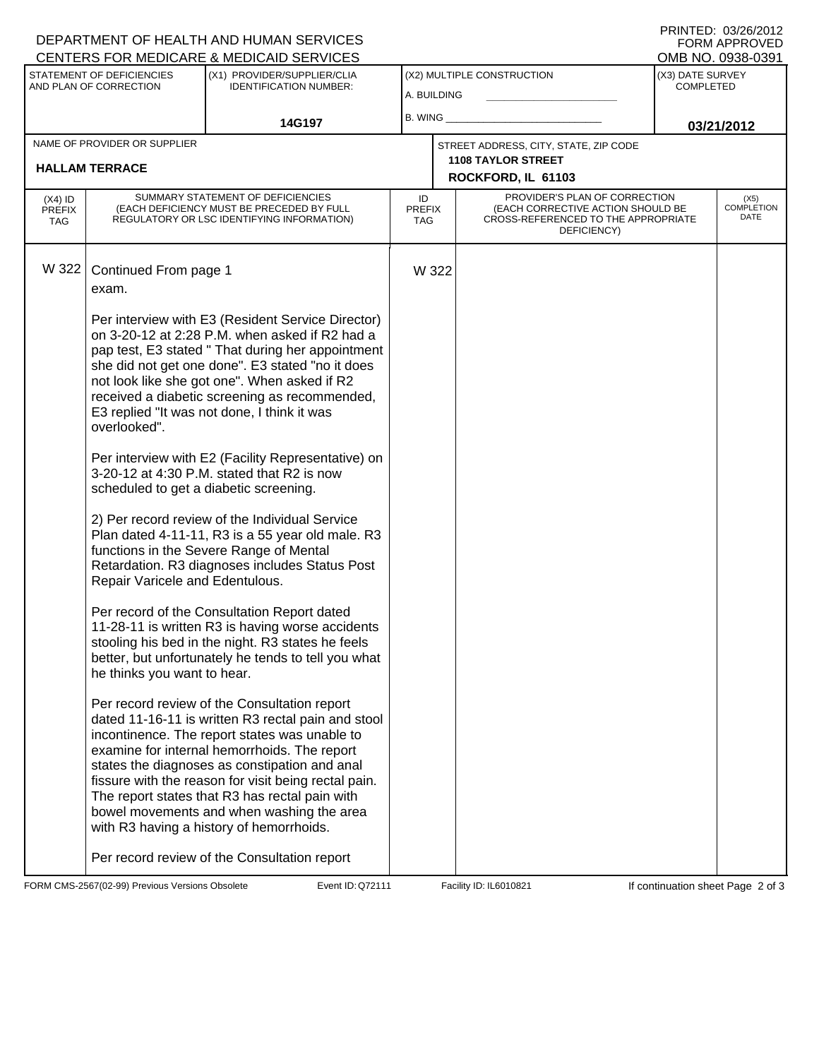|                                   |                                                       | DEPARTMENT OF HEALTH AND HUMAN SERVICES<br><b>CENTERS FOR MEDICARE &amp; MEDICAID SERVICES</b>                                                                                                                                                                                                                                                                                                                                                          |                                   |       |                                                                                                                          |                                      | FORM APPROVED<br>OMB NO. 0938-0391 |
|-----------------------------------|-------------------------------------------------------|---------------------------------------------------------------------------------------------------------------------------------------------------------------------------------------------------------------------------------------------------------------------------------------------------------------------------------------------------------------------------------------------------------------------------------------------------------|-----------------------------------|-------|--------------------------------------------------------------------------------------------------------------------------|--------------------------------------|------------------------------------|
|                                   | STATEMENT OF DEFICIENCIES<br>AND PLAN OF CORRECTION   | (X1) PROVIDER/SUPPLIER/CLIA<br><b>IDENTIFICATION NUMBER:</b>                                                                                                                                                                                                                                                                                                                                                                                            | A. BUILDING                       |       | (X2) MULTIPLE CONSTRUCTION                                                                                               | (X3) DATE SURVEY<br><b>COMPLETED</b> |                                    |
|                                   |                                                       | 14G197                                                                                                                                                                                                                                                                                                                                                                                                                                                  | B. WING                           |       |                                                                                                                          |                                      | 03/21/2012                         |
|                                   | NAME OF PROVIDER OR SUPPLIER<br><b>HALLAM TERRACE</b> |                                                                                                                                                                                                                                                                                                                                                                                                                                                         |                                   |       | STREET ADDRESS, CITY, STATE, ZIP CODE<br><b>1108 TAYLOR STREET</b>                                                       |                                      |                                    |
|                                   |                                                       |                                                                                                                                                                                                                                                                                                                                                                                                                                                         |                                   |       | ROCKFORD, IL 61103                                                                                                       |                                      |                                    |
| $(X4)$ ID<br><b>PREFIX</b><br>TAG |                                                       | SUMMARY STATEMENT OF DEFICIENCIES<br>(EACH DEFICIENCY MUST BE PRECEDED BY FULL<br>REGULATORY OR LSC IDENTIFYING INFORMATION)                                                                                                                                                                                                                                                                                                                            | ID<br><b>PREFIX</b><br><b>TAG</b> |       | PROVIDER'S PLAN OF CORRECTION<br>(EACH CORRECTIVE ACTION SHOULD BE<br>CROSS-REFERENCED TO THE APPROPRIATE<br>DEFICIENCY) |                                      | (X5)<br><b>COMPLETION</b><br>DATE  |
| W 322                             | Continued From page 1<br>exam.                        | Per interview with E3 (Resident Service Director)                                                                                                                                                                                                                                                                                                                                                                                                       |                                   | W 322 |                                                                                                                          |                                      |                                    |
|                                   | overlooked".                                          | on 3-20-12 at 2:28 P.M. when asked if R2 had a<br>pap test, E3 stated "That during her appointment<br>she did not get one done". E3 stated "no it does<br>not look like she got one". When asked if R2<br>received a diabetic screening as recommended,<br>E3 replied "It was not done, I think it was                                                                                                                                                  |                                   |       |                                                                                                                          |                                      |                                    |
|                                   | scheduled to get a diabetic screening.                | Per interview with E2 (Facility Representative) on<br>3-20-12 at 4:30 P.M. stated that R2 is now                                                                                                                                                                                                                                                                                                                                                        |                                   |       |                                                                                                                          |                                      |                                    |
|                                   | Repair Varicele and Edentulous.                       | 2) Per record review of the Individual Service<br>Plan dated 4-11-11, R3 is a 55 year old male. R3<br>functions in the Severe Range of Mental<br>Retardation. R3 diagnoses includes Status Post                                                                                                                                                                                                                                                         |                                   |       |                                                                                                                          |                                      |                                    |
|                                   | he thinks you want to hear.                           | Per record of the Consultation Report dated<br>11-28-11 is written R3 is having worse accidents<br>stooling his bed in the night. R3 states he feels<br>better, but unfortunately he tends to tell you what                                                                                                                                                                                                                                             |                                   |       |                                                                                                                          |                                      |                                    |
|                                   |                                                       | Per record review of the Consultation report<br>dated 11-16-11 is written R3 rectal pain and stool<br>incontinence. The report states was unable to<br>examine for internal hemorrhoids. The report<br>states the diagnoses as constipation and anal<br>fissure with the reason for visit being rectal pain.<br>The report states that R3 has rectal pain with<br>bowel movements and when washing the area<br>with R3 having a history of hemorrhoids. |                                   |       |                                                                                                                          |                                      |                                    |
|                                   |                                                       | Per record review of the Consultation report                                                                                                                                                                                                                                                                                                                                                                                                            |                                   |       |                                                                                                                          |                                      |                                    |

FORM CMS-2567(02-99) Previous Versions Obsolete **Example 2 CF Event ID: Q72111** Facility ID: IL6010821 If continuation sheet Page 2 of 3

DEPARTMENT OF HEALTH AND HUMAN SERVICES

PRINTED: 03/26/2012